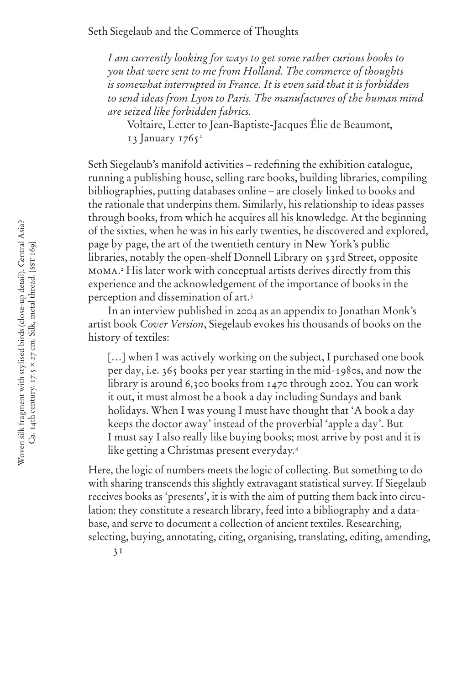# Seth Siegelaub and the Commerce of Thoughts

*I am currently looking for ways to get some rather curious books to you that were sent to me from Holland. The commerce of thoughts is somewhat interrupted in France. It is even said that it is forbidden to send ideas from Lyon to Paris. The manufactures of the human mind are seized like forbidden fabrics.* 

Voltaire, Letter to Jean-Baptiste-Jacques Élie de Beaumont, 13 January 1765<sup>1</sup>

Seth Siegelaub's manifold activities – redefining the exhibition catalogue, running a publishing house, selling rare books, building libraries, compiling bibliographies, putting databases online – are closely linked to books and the rationale that underpins them. Similarly, his relationship to ideas passes through books, from which he acquires all his knowledge. At the beginning of the sixties, when he was in his early twenties, he discovered and explored, page by page, the art of the twentieth century in New York's public libraries, notably the open-shelf Donnell Library on 53rd Street, opposite moma. 2 His later work with conceptual artists derives directly from this experience and the acknowledgement of the importance of books in the perception and dissemination of art.3

In an interview published in 2004 as an appendix to Jonathan Monk's artist book *Cover Version*, Siegelaub evokes his thousands of books on the history of textiles:

[...] when I was actively working on the subject, I purchased one book per day, i.e. 365 books per year starting in the mid-1980s, and now the library is around 6,300 books from 1470 through 2002. You can work it out, it must almost be a book a day including Sundays and bank holidays. When I was young I must have thought that 'A book a day keeps the doctor away' instead of the proverbial 'apple a day'. But I must say I also really like buying books; most arrive by post and it is like getting a Christmas present everyday.4

Here, the logic of numbers meets the logic of collecting. But something to do with sharing transcends this slightly extravagant statistical survey. If Siegelaub receives books as 'presents', it is with the aim of putting them back into circulation: they constitute a research library, feed into a bibliography and a database, and serve to document a collection of ancient textiles. Researching, selecting, buying, annotating, citing, organising, translating, editing, amending,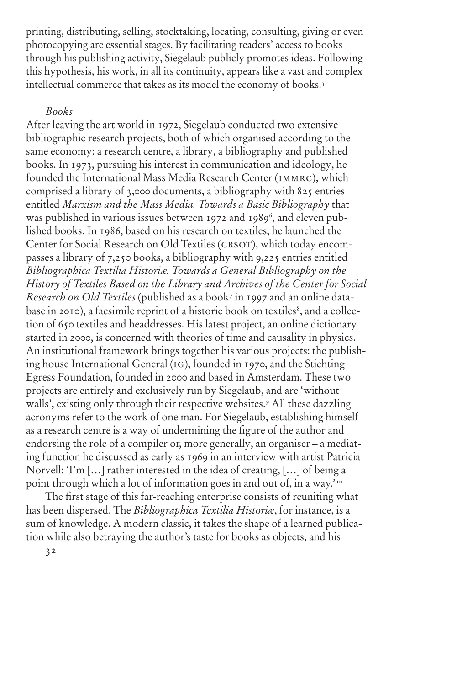printing, distributing, selling, stocktaking, locating, consulting, giving or even photocopying are essential stages. By facilitating readers' access to books through his publishing activity, Siegelaub publicly promotes ideas. Following this hypothesis, his work, in all its continuity, appears like a vast and complex intellectual commerce that takes as its model the economy of books.<sup>5</sup>

# *Books*

After leaving the art world in 1972, Siegelaub conducted two extensive bibliographic research projects, both of which organised according to the same economy: a research centre, a library, a bibliography and published books. In 1973, pursuing his interest in communication and ideology, he founded the International Mass Media Research Center (immrc), which comprised a library of 3,000 documents, a bibliography with 825 entries entitled *Marxism and the Mass Media. Towards a Basic Bibliography* that was published in various issues between 1972 and 1989<sup>6</sup>, and eleven published books. In 1986, based on his research on textiles, he launched the Center for Social Research on Old Textiles (CRSOT), which today encompasses a library of 7,250 books, a bibliography with 9,225 entries entitled *Bibliographica Textilia Historiæ. Towards a General Bibliography on the History of Textiles Based on the Library and Archives of the Center for Social Research on Old Textiles* (published as a book7 in 1997 and an online database in 2010), a facsimile reprint of a historic book on textiles<sup>8</sup>, and a collection of 650 textiles and headdresses. His latest project, an online dictionary started in 2000, is concerned with theories of time and causality in physics. An institutional framework brings together his various projects: the publishing house International General (ig), founded in 1970, and the Stichting Egress Foundation, founded in 2000 and based in Amsterdam. These two projects are entirely and exclusively run by Siegelaub, and are 'without walls', existing only through their respective websites.9 All these dazzling acronyms refer to the work of one man. For Siegelaub, establishing himself as a research centre is a way of undermining the figure of the author and endorsing the role of a compiler or, more generally, an organiser – a mediating function he discussed as early as 1969 in an interview with artist Patricia Norvell: 'I'm […] rather interested in the idea of creating, […] of being a point through which a lot of information goes in and out of, in a way.'<sup>10</sup>

The first stage of this far-reaching enterprise consists of reuniting what has been dispersed. The *Bibliographica Textilia Historiæ*, for instance, is a sum of knowledge. A modern classic, it takes the shape of a learned publication while also betraying the author's taste for books as objects, and his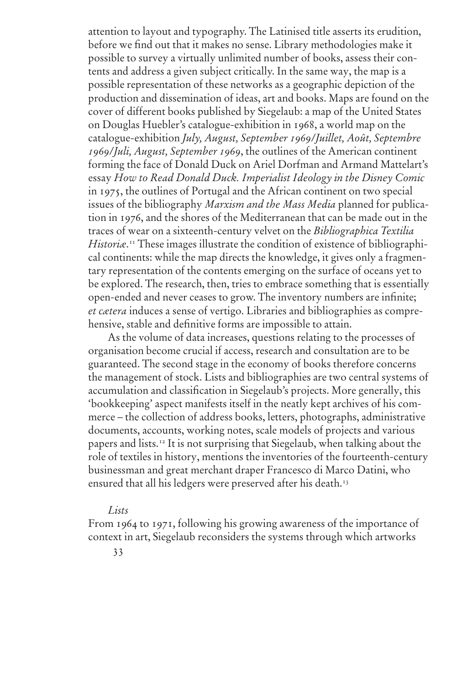attention to layout and typography. The Latinised title asserts its erudition, before we find out that it makes no sense. Library methodologies make it possible to survey a virtually unlimited number of books, assess their contents and address a given subject critically. In the same way, the map is a possible representation of these networks as a geographic depiction of the production and dissemination of ideas, art and books. Maps are found on the cover of different books published by Siegelaub: a map of the United States on Douglas Huebler's catalogue-exhibition in 1968, a world map on the catalogue-exhibition *July, August, September 1969/Juillet, Août, Septembre 1969/Juli, August, September 1969*, the outlines of the American continent forming the face of Donald Duck on Ariel Dorfman and Armand Mattelart's essay *How to Read Donald Duck. Imperialist Ideology in the Disney Comic* in 1975, the outlines of Portugal and the African continent on two special issues of the bibliography *Marxism and the Mass Media* planned for publication in 1976, and the shores of the Mediterranean that can be made out in the traces of wear on a sixteenth-century velvet on the *Bibliographica Textilia Historiæ*. 11 These images illustrate the condition of existence of bibliographical continents: while the map directs the knowledge, it gives only a fragmentary representation of the contents emerging on the surface of oceans yet to be explored. The research, then, tries to embrace something that is essentially open-ended and never ceases to grow. The inventory numbers are infinite; *et cætera* induces a sense of vertigo. Libraries and bibliographies as comprehensive, stable and definitive forms are impossible to attain.

As the volume of data increases, questions relating to the processes of organisation become crucial if access, research and consultation are to be guaranteed. The second stage in the economy of books therefore concerns the management of stock. Lists and bibliographies are two central systems of accumulation and classification in Siegelaub's projects. More generally, this 'bookkeeping' aspect manifests itself in the neatly kept archives of his commerce – the collection of address books, letters, photographs, administrative documents, accounts, working notes, scale models of projects and various papers and lists.12 It is not surprising that Siegelaub, when talking about the role of textiles in history, mentions the inventories of the fourteenth-century businessman and great merchant draper Francesco di Marco Datini, who ensured that all his ledgers were preserved after his death.<sup>13</sup>

#### *Lists*

From 1964 to 1971, following his growing awareness of the importance of context in art, Siegelaub reconsiders the systems through which artworks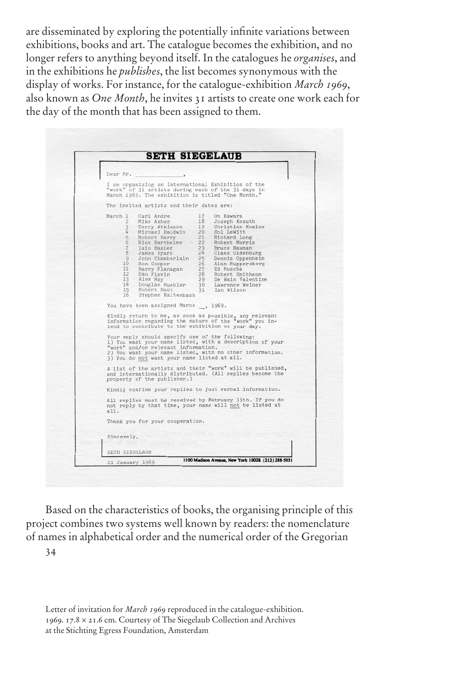are disseminated by exploring the potentially infinite variations between exhibitions, books and art. The catalogue becomes the exhibition, and no longer refers to anything beyond itself. In the catalogues he *organises*, and in the exhibitions he *publishes*, the list becomes synonymous with the display of works. For instance, for the catalogue-exhibition *March 1969*, also known as *One Month*, he invites 31 artists to create one work each for the day of the month that has been assigned to them.

| Dear Mr.   |                                                                                                                                                                                                                                                                                                                                                                                                                                                                                                                                                                                                                                     |
|------------|-------------------------------------------------------------------------------------------------------------------------------------------------------------------------------------------------------------------------------------------------------------------------------------------------------------------------------------------------------------------------------------------------------------------------------------------------------------------------------------------------------------------------------------------------------------------------------------------------------------------------------------|
|            | I am organizing an International Exhibition of the<br>"work" of 31 artists during each of the 31 days in<br>March 1969. The exhibition is titled "One Month."                                                                                                                                                                                                                                                                                                                                                                                                                                                                       |
|            | The invited artists and their dates are:                                                                                                                                                                                                                                                                                                                                                                                                                                                                                                                                                                                            |
| 16         | March 1 Carl Andre 17 On Kawara<br>2 Mike Asher - 18 Joseph Kosuth<br>3 Terry Atkinson 19 Christine Kozlov<br>4 Michael Baldwin 20 Sol LeWitt<br>5 Robert Barry 21 Richard Long<br>6 Rick Barthelme 22 Robert Morris<br>7 Iain Baxter 23 Bruce Naunan<br>8 James Byars 24 Claes Oldenburg<br>9 John Chamberlain<br>10 Ron Champer 26 Alan Ruppersberg<br>11 Barry Flanagan<br>12 Dan Piavin 27 Ed Rusch<br>13 Alex Hay<br>29 De Wain Valentine<br>13 Alex Hay<br>14 Douglas Huebler 30 Lawrence Weiner<br>15 Robert Huot 31 Ian Wilson<br>15 Robert Huot 31 Ian Wilson<br>Stephen Kaltenbach<br>You have been assigned March, 1969. |
|            | Kindly return to me, as soon as possible, any relevant<br>information regarding the nature of the "work" you in-<br>tend to contribute to the exhibition on your day.                                                                                                                                                                                                                                                                                                                                                                                                                                                               |
|            | Your reply should specify one of the following:<br>1) You want your name listed, with a description of your<br>"work" and/or relevant information.<br>2) You want your name listed, with no other information.<br>3) You do not want your name listed at all.                                                                                                                                                                                                                                                                                                                                                                       |
|            | A list of the artists and their "work" will be published,<br>and internationally distributed. (All replies become the<br>property of the publisher.)                                                                                                                                                                                                                                                                                                                                                                                                                                                                                |
|            | Kindly confine your replies to just verbal information.                                                                                                                                                                                                                                                                                                                                                                                                                                                                                                                                                                             |
| all.       | All replies must be received by February 15th. If you do<br>not reply by that time, your name will not be listed at                                                                                                                                                                                                                                                                                                                                                                                                                                                                                                                 |
|            | Thank you for your cooperation.                                                                                                                                                                                                                                                                                                                                                                                                                                                                                                                                                                                                     |
| Sincerely, |                                                                                                                                                                                                                                                                                                                                                                                                                                                                                                                                                                                                                                     |
|            | SETH SIEGELAUB                                                                                                                                                                                                                                                                                                                                                                                                                                                                                                                                                                                                                      |
|            | 1100 Madison Avenue, New York 10028. (212) 288-5031<br>21 January 1969                                                                                                                                                                                                                                                                                                                                                                                                                                                                                                                                                              |

Based on the characteristics of books, the organising principle of this project combines two systems well known by readers: the nomenclature of names in alphabetical order and the numerical order of the Gregorian

34

Letter of invitation for *March 1969* reproduced in the catalogue-exhibition. 1969. 17.8 × 21.6 cm. Courtesy of The Siegelaub Collection and Archives at the Stichting Egress Foundation, Amsterdam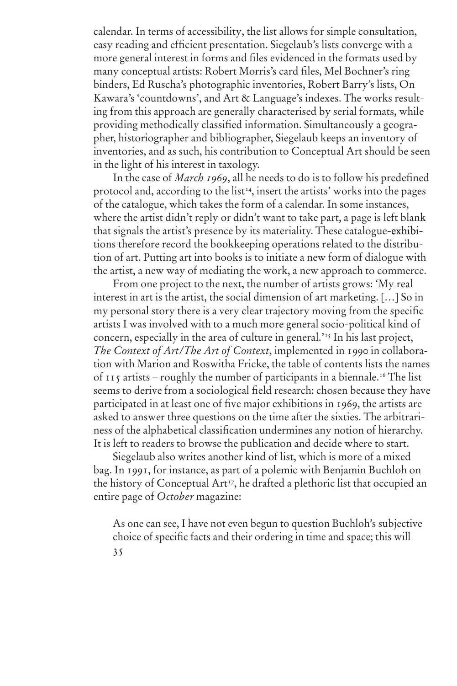calendar. In terms of accessibility, the list allows for simple consultation, easy reading and efficient presentation. Siegelaub's lists converge with a more general interest in forms and files evidenced in the formats used by many conceptual artists: Robert Morris's card files, Mel Bochner's ring binders, Ed Ruscha's photographic inventories, Robert Barry's lists, On Kawara's 'countdowns', and Art & Language's indexes. The works resulting from this approach are generally characterised by serial formats, while providing methodically classified information. Simultaneously a geographer, historiographer and bibliographer, Siegelaub keeps an inventory of inventories, and as such, his contribution to Conceptual Art should be seen in the light of his interest in taxology.

In the case of *March 1969*, all he needs to do is to follow his predefined protocol and, according to the list<sup>14</sup>, insert the artists' works into the pages of the catalogue, which takes the form of a calendar. In some instances, where the artist didn't reply or didn't want to take part, a page is left blank that signals the artist's presence by its materiality. These catalogue-exhibitions therefore record the bookkeeping operations related to the distribution of art. Putting art into books is to initiate a new form of dialogue with the artist, a new way of mediating the work, a new approach to commerce.

From one project to the next, the number of artists grows: 'My real interest in art is the artist, the social dimension of art marketing. […] So in my personal story there is a very clear trajectory moving from the specific artists I was involved with to a much more general socio-political kind of concern, especially in the area of culture in general.'15 In his last project, *The Context of Art/The Art of Context*, implemented in 1990 in collaboration with Marion and Roswitha Fricke, the table of contents lists the names of 115 artists – roughly the number of participants in a biennale.16 The list seems to derive from a sociological field research: chosen because they have participated in at least one of five major exhibitions in 1969, the artists are asked to answer three questions on the time after the sixties. The arbitrariness of the alphabetical classification undermines any notion of hierarchy. It is left to readers to browse the publication and decide where to start.

Siegelaub also writes another kind of list, which is more of a mixed bag. In 1991, for instance, as part of a polemic with Benjamin Buchloh on the history of Conceptual Art<sup>17</sup>, he drafted a plethoric list that occupied an entire page of *October* magazine:

35 As one can see, I have not even begun to question Buchloh's subjective choice of specific facts and their ordering in time and space; this will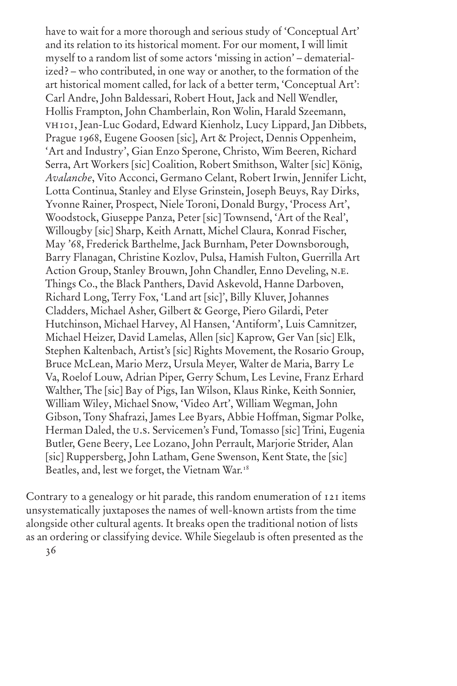have to wait for a more thorough and serious study of 'Conceptual Art' and its relation to its historical moment. For our moment, I will limit myself to a random list of some actors 'missing in action' – dematerialized? – who contributed, in one way or another, to the formation of the art historical moment called, for lack of a better term, 'Conceptual Art': Carl Andre, John Baldessari, Robert Hout, Jack and Nell Wendler, Hollis Frampton, John Chamberlain, Ron Wolin, Harald Szeemann, vh101, Jean-Luc Godard, Edward Kienholz, Lucy Lippard, Jan Dibbets, Prague 1968, Eugene Goosen [sic], Art & Project, Dennis Oppenheim, 'Art and Industry', Gian Enzo Sperone, Christo, Wim Beeren, Richard Serra, Art Workers [sic] Coalition, Robert Smithson, Walter [sic] König, *Avalanche*, Vito Acconci, Germano Celant, Robert Irwin, Jennifer Licht, Lotta Continua, Stanley and Elyse Grinstein, Joseph Beuys, Ray Dirks, Yvonne Rainer, Prospect, Niele Toroni, Donald Burgy, 'Process Art', Woodstock, Giuseppe Panza, Peter [sic] Townsend, 'Art of the Real', Willougby [sic] Sharp, Keith Arnatt, Michel Claura, Konrad Fischer, May '68, Frederick Barthelme, Jack Burnham, Peter Downsborough, Barry Flanagan, Christine Kozlov, Pulsa, Hamish Fulton, Guerrilla Art Action Group, Stanley Brouwn, John Chandler, Enno Develing, N.E. Things Co., the Black Panthers, David Askevold, Hanne Darboven, Richard Long, Terry Fox, 'Land art [sic]', Billy Kluver, Johannes Cladders, Michael Asher, Gilbert & George, Piero Gilardi, Peter Hutchinson, Michael Harvey, Al Hansen, 'Antiform', Luis Camnitzer, Michael Heizer, David Lamelas, Allen [sic] Kaprow, Ger Van [sic] Elk, Stephen Kaltenbach, Artist's [sic] Rights Movement, the Rosario Group, Bruce McLean, Mario Merz, Ursula Meyer, Walter de Maria, Barry Le Va, Roelof Louw, Adrian Piper, Gerry Schum, Les Levine, Franz Erhard Walther, The [sic] Bay of Pigs, Ian Wilson, Klaus Rinke, Keith Sonnier, William Wiley, Michael Snow, 'Video Art', William Wegman, John Gibson, Tony Shafrazi, James Lee Byars, Abbie Hoffman, Sigmar Polke, Herman Daled, the u.s. Servicemen's Fund, Tomasso [sic] Trini, Eugenia Butler, Gene Beery, Lee Lozano, John Perrault, Marjorie Strider, Alan [sic] Ruppersberg, John Latham, Gene Swenson, Kent State, the [sic] Beatles, and, lest we forget, the Vietnam War.<sup>18</sup>

Contrary to a genealogy or hit parade, this random enumeration of 121 items unsystematically juxtaposes the names of well-known artists from the time alongside other cultural agents. It breaks open the traditional notion of lists as an ordering or classifying device. While Siegelaub is often presented as the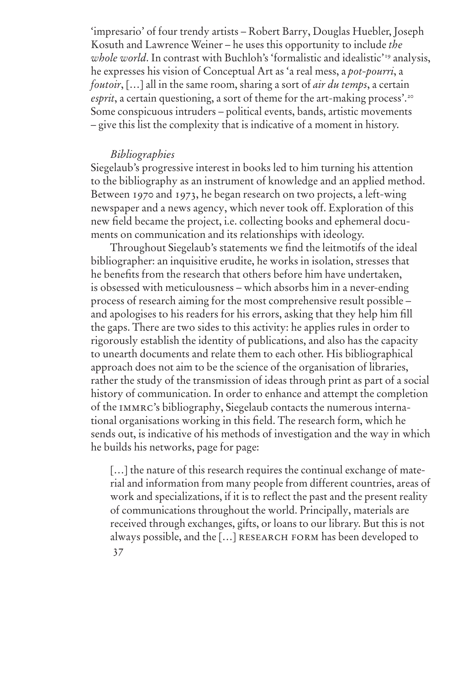'impresario' of four trendy artists – Robert Barry, Douglas Huebler, Joseph Kosuth and Lawrence Weiner – he uses this opportunity to include *the whole world*. In contrast with Buchloh's 'formalistic and idealistic'<sup>19</sup> analysis, he expresses his vision of Conceptual Art as 'a real mess, a *pot-pourri*, a *foutoir*, […] all in the same room, sharing a sort of *air du temps*, a certain *esprit*, a certain questioning, a sort of theme for the art-making process'.<sup>20</sup> Some conspicuous intruders – political events, bands, artistic movements – give this list the complexity that is indicative of a moment in history.

# *Bibliographies*

Siegelaub's progressive interest in books led to him turning his attention to the bibliography as an instrument of knowledge and an applied method. Between 1970 and 1973, he began research on two projects, a left-wing newspaper and a news agency, which never took off. Exploration of this new field became the project, i.e. collecting books and ephemeral documents on communication and its relationships with ideology.

Throughout Siegelaub's statements we find the leitmotifs of the ideal bibliographer: an inquisitive erudite, he works in isolation, stresses that he benefits from the research that others before him have undertaken, is obsessed with meticulousness – which absorbs him in a never-ending process of research aiming for the most comprehensive result possible – and apologises to his readers for his errors, asking that they help him fill the gaps. There are two sides to this activity: he applies rules in order to rigorously establish the identity of publications, and also has the capacity to unearth documents and relate them to each other. His bibliographical approach does not aim to be the science of the organisation of libraries, rather the study of the transmission of ideas through print as part of a social history of communication. In order to enhance and attempt the completion of the immrc's bibliography, Siegelaub contacts the numerous international organisations working in this field. The research form, which he sends out, is indicative of his methods of investigation and the way in which he builds his networks, page for page:

37 [...] the nature of this research requires the continual exchange of material and information from many people from different countries, areas of work and specializations, if it is to reflect the past and the present reality of communications throughout the world. Principally, materials are received through exchanges, gifts, or loans to our library. But this is not always possible, and the [...] RESEARCH FORM has been developed to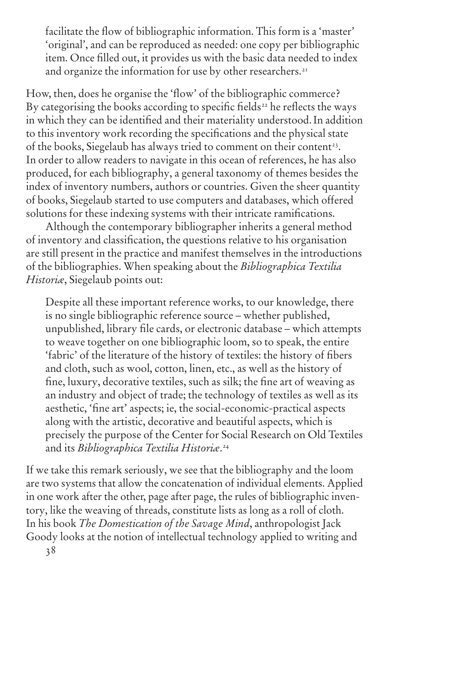facilitate the flow of bibliographic information. This form is a 'master' 'original', and can be reproduced as needed: one copy per bibliographic item. Once filled out, it provides us with the basic data needed to index and organize the information for use by other researchers.<sup>21</sup>

How, then, does he organise the 'flow' of the bibliographic commerce? By categorising the books according to specific fields<sup>22</sup> he reflects the ways in which they can be identified and their materiality understood.In addition to this inventory work recording the specifications and the physical state of the books, Siegelaub has always tried to comment on their content<sup>23</sup>. In order to allow readers to navigate in this ocean of references, he has also produced, for each bibliography, a general taxonomy of themes besides the index of inventory numbers, authors or countries. Given the sheer quantity of books, Siegelaub started to use computers and databases, which offered solutions for these indexing systems with their intricate ramifications.

Although the contemporary bibliographer inherits a general method of inventory and classification, the questions relative to his organisation are still present in the practice and manifest themselves in the introductions of the bibliographies. When speaking about the *Bibliographica Textilia Historiæ*, Siegelaub points out:

Despite all these important reference works, to our knowledge, there is no single bibliographic reference source – whether published, unpublished, library file cards, or electronic database – which attempts to weave together on one bibliographic loom, so to speak, the entire 'fabric' of the literature of the history of textiles: the history of fibers and cloth, such as wool, cotton, linen, etc., as well as the history of fine, luxury, decorative textiles, such as silk; the fine art of weaving as an industry and object of trade; the technology of textiles as well as its aesthetic, 'fine art' aspects; ie, the social-economic-practical aspects along with the artistic, decorative and beautiful aspects, which is precisely the purpose of the Center for Social Research on Old Textiles and its *Bibliographica Textilia Historiæ*. 24

If we take this remark seriously, we see that the bibliography and the loom are two systems that allow the concatenation of individual elements. Applied in one work after the other, page after page, the rules of bibliographic inventory, like the weaving of threads, constitute lists as long as a roll of cloth. In his book *The Domestication of the Savage Mind*, anthropologist Jack Goody looks at the notion of intellectual technology applied to writing and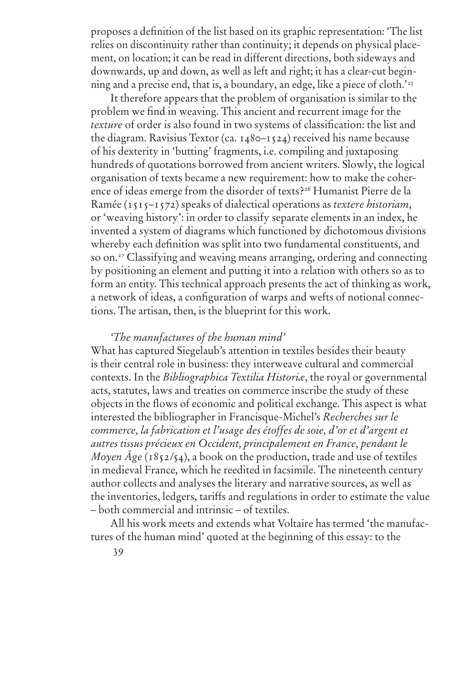proposes a definition of the list based on its graphic representation: 'The list relies on discontinuity rather than continuity; it depends on physical placement, on location; it can be read in different directions, both sideways and downwards, up and down, as well as left and right; it has a clear-cut beginning and a precise end, that is, a boundary, an edge, like a piece of cloth.'25

It therefore appears that the problem of organisation is similar to the problem we find in weaving. This ancient and recurrent image for the *texture* of order is also found in two systems of classification: the list and the diagram. Ravisius Textor (ca. 1480–1524) received his name because of his dexterity in 'butting' fragments, i.e. compiling and juxtaposing hundreds of quotations borrowed from ancient writers. Slowly, the logical organisation of texts became a new requirement: how to make the coherence of ideas emerge from the disorder of texts?26 Humanist Pierre de la Ramée (1515–1572) speaks of dialectical operations as *textere historiam*, or 'weaving history': in order to classify separate elements in an index, he invented a system of diagrams which functioned by dichotomous divisions whereby each definition was split into two fundamental constituents, and so on.<sup>27</sup> Classifying and weaving means arranging, ordering and connecting by positioning an element and putting it into a relation with others so as to form an entity. This technical approach presents the act of thinking as work, a network of ideas, a configuration of warps and wefts of notional connections. The artisan, then, is the blueprint for this work.

# *'The manufactures of the human mind'*

What has captured Siegelaub's attention in textiles besides their beauty is their central role in business: they interweave cultural and commercial contexts. In the *Bibliographica Textilia Historiæ*, the royal or governmental acts, statutes, laws and treaties on commerce inscribe the study of these objects in the flows of economic and political exchange. This aspect is what interested the bibliographer in Francisque-Michel's *Recherches sur le commerce, la fabrication et l'usage des étoffes de soie, d'or et d'argent et autres tissus précieux en Occident, principalement en France, pendant le Moyen Âge* (1852/54), a book on the production, trade and use of textiles in medieval France, which he reedited in facsimile. The nineteenth century author collects and analyses the literary and narrative sources, as well as the inventories, ledgers, tariffs and regulations in order to estimate the value – both commercial and intrinsic – of textiles.

All his work meets and extends what Voltaire has termed 'the manufactures of the human mind' quoted at the beginning of this essay: to the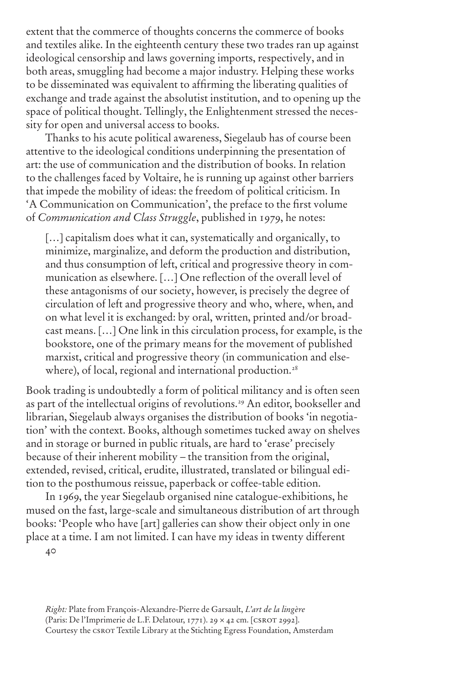extent that the commerce of thoughts concerns the commerce of books and textiles alike. In the eighteenth century these two trades ran up against ideological censorship and laws governing imports, respectively, and in both areas, smuggling had become a major industry. Helping these works to be disseminated was equivalent to affirming the liberating qualities of exchange and trade against the absolutist institution, and to opening up the space of political thought. Tellingly, the Enlightenment stressed the necessity for open and universal access to books.

Thanks to his acute political awareness, Siegelaub has of course been attentive to the ideological conditions underpinning the presentation of art: the use of communication and the distribution of books. In relation to the challenges faced by Voltaire, he is running up against other barriers that impede the mobility of ideas: the freedom of political criticism. In 'A Communication on Communication', the preface to the first volume of *Communication and Class Struggle*, published in 1979, he notes:

[...] capitalism does what it can, systematically and organically, to minimize, marginalize, and deform the production and distribution, and thus consumption of left, critical and progressive theory in communication as elsewhere. […] One reflection of the overall level of these antagonisms of our society, however, is precisely the degree of circulation of left and progressive theory and who, where, when, and on what level it is exchanged: by oral, written, printed and/or broadcast means. […] One link in this circulation process, for example, is the bookstore, one of the primary means for the movement of published marxist, critical and progressive theory (in communication and elsewhere), of local, regional and international production.<sup>28</sup>

Book trading is undoubtedly a form of political militancy and is often seen as part of the intellectual origins of revolutions.<sup>29</sup> An editor, bookseller and librarian, Siegelaub always organises the distribution of books 'in negotiation' with the context. Books, although sometimes tucked away on shelves and in storage or burned in public rituals, are hard to 'erase' precisely because of their inherent mobility – the transition from the original, extended, revised, critical, erudite, illustrated, translated or bilingual edition to the posthumous reissue, paperback or coffee-table edition.

In 1969, the year Siegelaub organised nine catalogue-exhibitions, he mused on the fast, large-scale and simultaneous distribution of art through books: 'People who have [art] galleries can show their object only in one place at a time. I am not limited. I can have my ideas in twenty different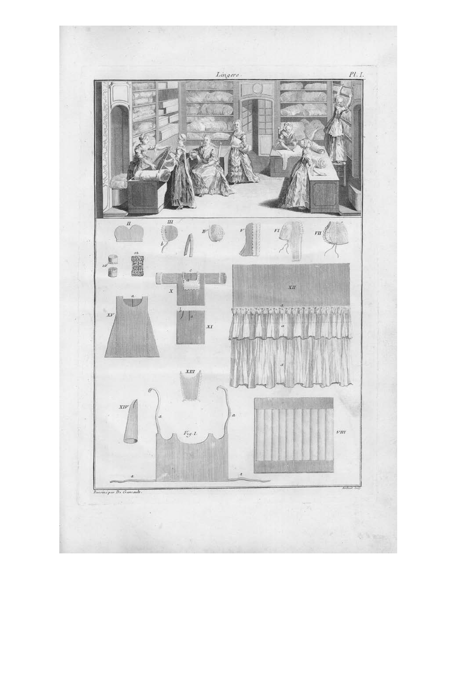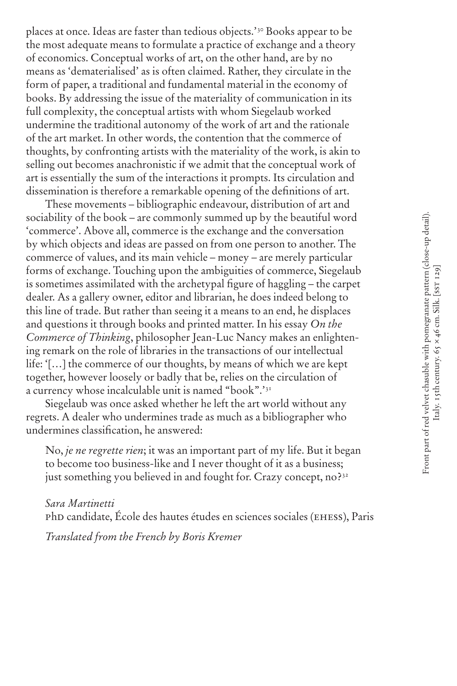places at once. Ideas are faster than tedious objects.'30 Books appear to be the most adequate means to formulate a practice of exchange and a theory of economics. Conceptual works of art, on the other hand, are by no means as 'dematerialised' as is often claimed. Rather, they circulate in the form of paper, a traditional and fundamental material in the economy of books. By addressing the issue of the materiality of communication in its full complexity, the conceptual artists with whom Siegelaub worked undermine the traditional autonomy of the work of art and the rationale of the art market. In other words, the contention that the commerce of thoughts, by confronting artists with the materiality of the work, is akin to selling out becomes anachronistic if we admit that the conceptual work of art is essentially the sum of the interactions it prompts. Its circulation and dissemination is therefore a remarkable opening of the definitions of art.

These movements – bibliographic endeavour, distribution of art and sociability of the book – are commonly summed up by the beautiful word 'commerce'. Above all, commerce is the exchange and the conversation by which objects and ideas are passed on from one person to another. The commerce of values, and its main vehicle – money – are merely particular forms of exchange. Touching upon the ambiguities of commerce, Siegelaub is sometimes assimilated with the archetypal figure of haggling – the carpet dealer. As a gallery owner, editor and librarian, he does indeed belong to this line of trade. But rather than seeing it a means to an end, he displaces and questions it through books and printed matter. In his essay *On the Commerce of Thinking*, philosopher Jean-Luc Nancy makes an enlightening remark on the role of libraries in the transactions of our intellectual life: '[…] the commerce of our thoughts, by means of which we are kept together, however loosely or badly that be, relies on the circulation of a currency whose incalculable unit is named "book".'31

Siegelaub was once asked whether he left the art world without any regrets. A dealer who undermines trade as much as a bibliographer who undermines classification, he answered:

No, *je ne regrette rien*; it was an important part of my life. But it began to become too business-like and I never thought of it as a business; just something you believed in and fought for. Crazy concept, no?<sup>32</sup>

*Sara Martinetti* phd candidate, École des hautes études en sciences sociales (ehess), Paris

*Translated from the French by Boris Kremer*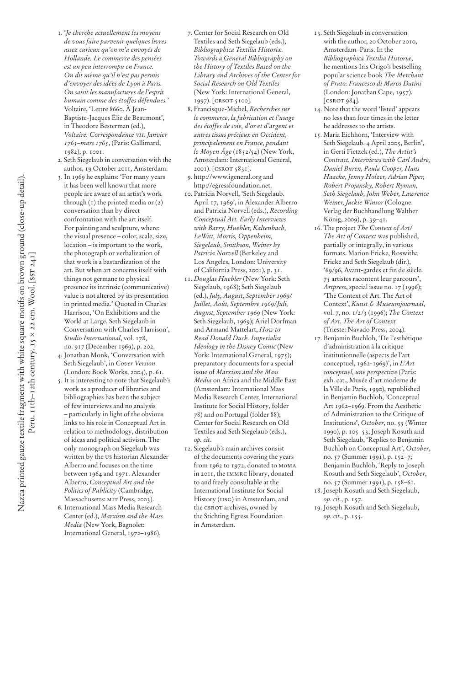- 1. '*Je cherche actuellement les moyens de vous faire parvenir quelques livres assez curieux qu'on m'a envoyés de Hollande. Le commerce des pensées est un peu interrompu en France. On dit même qu'il n'est pas permis d'envoyer des idées de Lyon à Paris. On saisit les manufactures de l'esprit humain comme des étoffes défendues.*' Voltaire, 'Lettre 8660. À Jean-Baptiste-Jacques Élie de Beaumont', in Theodore Besterman (ed.), *Voltaire. Correspondance vii. Janvier 1763–mars 1765*, (Paris: Gallimard, 1982), p. 1001.
- 2. Seth Siegelaub in conversation with the author, 19 October 2011, Amsterdam.
- 3. In 1969 he explains: 'For many years it has been well known that more people are aware of an artist's work through (1) the printed media or (2) conversation than by direct confrontation with the art itself. For painting and sculpture, where: the visual presence – color, scale, size, location – is important to the work, the photograph or verbalization of that work is a bastardization of the art. But when art concerns itself with things not germane to physical presence its intrinsic (communicative) value is not altered by its presentation in printed media.' Quoted in Charles Harrison, 'On Exhibitions and the World at Large. Seth Siegelaub in Conversation with Charles Harrison', *Studio International*, vol. 178, no. 917 (December 1969), p. 202.
- 4. Jonathan Monk, 'Conversation with Seth Siegelaub', in *Cover Version* (London: Book Works, 2004), p. 61.
- 5. It is interesting to note that Siegelaub's work as a producer of libraries and bibliographies has been the subject of few interviews and no analysis – particularly in light of the obvious links to his role in Conceptual Art in relation to methodology, distribution of ideas and political activism. The only monograph on Siegelaub was written by the us historian Alexander Alberro and focuses on the time between 1964 and 1971. Alexander Alberro, *Conceptual Art and the Politics of Publicity* (Cambridge, Massachusetts: MIT Press, 2003).
- 6. International Mass Media Research Center (ed.), *Marxism and the Mass Media* (New York, Bagnolet: International General, 1972–1986).
- 7. Center for Social Research on Old Textiles and Seth Siegelaub (eds.), *Bibliographica Textilia Historiæ. Towards a General Bibliography on the History of Textiles Based on the Library and Archives of the Center for Social Research on Old Textiles*  (New York: International General, 1997). [CRSOT 5100].
- 8. Francisque-Michel, *Recherches sur le commerce, la fabrication et l'usage des étoffes de soie, d'or et d'argent et autres tissus précieux en Occident, principalement en France, pendant le Moyen Âge* (1852/54) (New York, Amsterdam: International General, 2001). [csrot 5831].
- 9. http://www.igeneral.org and http://egressfoundation.net.
- 10. Patricia Norvell, 'Seth Siegelaub. April 17, 1969', in Alexander Alberro and Patricia Norvell (eds.), *Recording Conceptual Art. Early Interviews with Barry, Huebler, Kaltenbach, LeWitt, Morris, Oppenheim, Siegelaub, Smithson, Weiner by Patricia Norvell* (Berkeley and Los Angeles, London: University of California Press, 2001), p. 31.
- 11. *Douglas Huebler* (New York: Seth Siegelaub, 1968); Seth Siegelaub (ed.), *July, August, September 1969/ Juillet, Août, Septembre 1969/Juli, August, September 1969* (New York: Seth Siegelaub, 1969); Ariel Dorfman and Armand Mattelart, *How to Read Donald Duck. Imperialist Ideology in the Disney Comic* (New York: International General, 1975); preparatory documents for a special issue of *Marxism and the Mass Media* on Africa and the Middle East (Amsterdam: International Mass Media Research Center, International Institute for Social History, folder 78) and on Portugal (folder 88); Center for Social Research on Old Textiles and Seth Siegelaub (eds.), *op. cit*.
- 12. Siegelaub's main archives consist of the documents covering the years from 1962 to 1972, donated to moma in 2011, the immrc library, donated to and freely consultable at the International Institute for Social History (iisg) in Amsterdam, and the CSROT archives, owned by the Stichting Egress Foundation in Amsterdam.
- 13. Seth Siegelaub in conversation with the author, 20 October 2010, Amsterdam–Paris. In the *Bibliographica Textilia Historiæ*, he mentions Iris Origo's bestselling popular science book *The Merchant of Prato: Francesco di Marco Datini* (London: Jonathan Cape, 1957). [CSROT 984].
- 14. Note that the word 'listed' appears no less than four times in the letter he addresses to the artists.
- 15. Maria Eichhorn, 'Interview with Seth Siegelaub. 4 April 2005, Berlin', in Gerti Fietzek (ed.), *The Artist's Contract. Interviews with Carl Andre, Daniel Buren, Paula Cooper, Hans Haacke, Jenny Holzer, Adrian Piper, Robert Projansky, Robert Ryman, Seth Siegelaub, John Weber, Lawrence Weiner, Jackie Winsor* (Cologne: Verlag der Buchhandlung Walther König, 2009), p. 39–41.
- 16. The project *The Context of Art/ The Art of Context* was published, partially or integrally, in various formats. Marion Fricke, Roswitha Fricke and Seth Siegelaub (dir.), '69/96, Avant-gardes et fin de siècle. 75 artistes racontent leur parcours', *Artpress*, special issue no. 17 (1996); 'The Context of Art. The Art of Context', *Kunst & Museumjournaal*, vol. 7, no. 1/2/3 (1996); *The Context of Art. The Art of Context* (Trieste: Navado Press, 2004).
- 17. Benjamin Buchloh, 'De l'esthétique d'administration à la critique institutionnelle (aspects de l'art conceptuel, 1962-1969)', in *L'Art conceptuel, une perspective* (Paris: exh. cat., Musée d'art moderne de la Ville de Paris, 1990), republished in Benjamin Buchloh, 'Conceptual Art 1962–1969. From the Aesthetic of Administration to the Critique of Institutions', *October*, no. 55 (Winter 1990), p. 105–53; Joseph Kosuth and Seth Siegelaub, 'Replies to Benjamin Buchloh on Conceptual Art', *October*, no. 57 (Summer 1991), p. 152–7; Benjamin Buchloh, 'Reply to Joseph Kosuth and Seth Siegelaub', *October*, no. 57 (Summer 1991), p. 158–61.
- 18. Joseph Kosuth and Seth Siegelaub, *op. cit.*, p. 157.
- 19. Joseph Kosuth and Seth Siegelaub, *op. cit.*, p. 155.